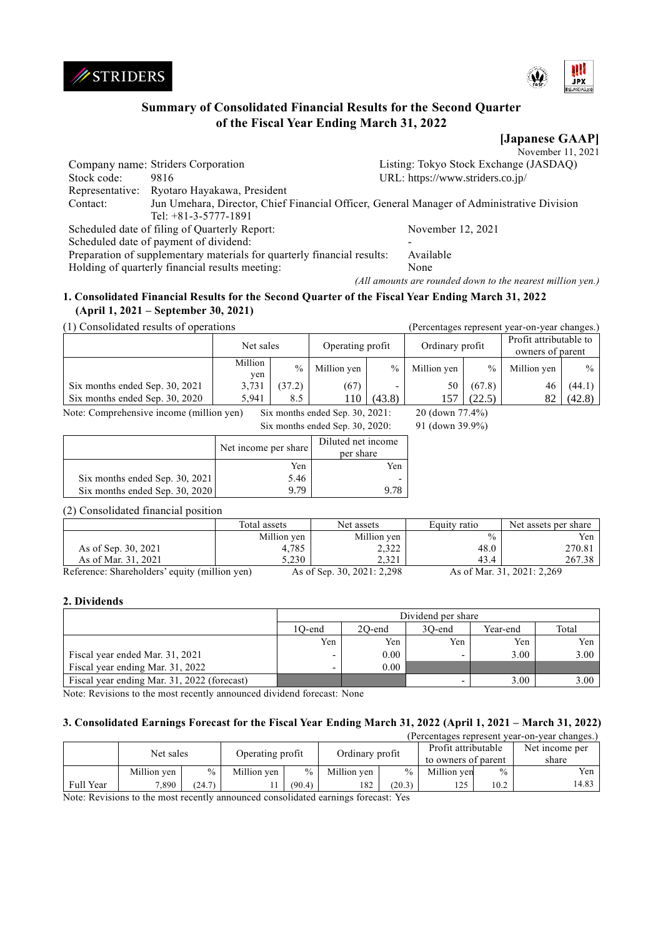



# **Summary of Consolidated Financial Results for the Second Quarter of the Fiscal Year Ending March 31, 2022**

**[Japanese GAAP]** November 11, 2021

|             | Company name: Striders Corporation                                                         | Listing: Tokyo Stock Exchange (JASDAQ) |
|-------------|--------------------------------------------------------------------------------------------|----------------------------------------|
| Stock code: | 9816                                                                                       | URL: https://www.striders.co.jp/       |
|             | Representative: Ryotaro Hayakawa, President                                                |                                        |
| Contact:    | Jun Umehara, Director, Chief Financial Officer, General Manager of Administrative Division |                                        |
|             | Tel: $+81-3-5777-1891$                                                                     |                                        |
|             | Scheduled date of filing of Quarterly Report:                                              | November 12, 2021                      |
|             | Scheduled date of payment of dividend:                                                     |                                        |
|             | Preparation of supplementary materials for quarterly financial results:                    | Available                              |
|             | Holding of quarterly financial results meeting:                                            | None                                   |
|             |                                                                                            |                                        |

*(All amounts are rounded down to the nearest million yen.)*

# **1. Consolidated Financial Results for the Second Quarter of the Fiscal Year Ending March 31, 2022 (April 1, 2021 – September 30, 2021)**

(1) Consolidated results of operations (Percentages represent year-on-year changes.)

|                                                                                                   | Operating profit<br>Net sales |               | Ordinary profit |                          | Profit attributable to<br>owners of parent |        |             |               |
|---------------------------------------------------------------------------------------------------|-------------------------------|---------------|-----------------|--------------------------|--------------------------------------------|--------|-------------|---------------|
|                                                                                                   | Million<br>yen                | $\frac{0}{0}$ | Million yen     | $\%$                     | Million yen                                | $\%$   | Million yen | $\frac{0}{0}$ |
| Six months ended Sep. 30, 2021                                                                    | 3,731                         | (37.2)        | (67)            | $\overline{\phantom{0}}$ | 50                                         | (67.8) | 46          | (44.1)        |
| Six months ended Sep. 30, 2020                                                                    | 5.941                         | 8.5           | 110             | (43.8)                   | 157                                        | (22.5) | 82          | (42.8)        |
| Note: Comprehensive income (million yen)<br>20 (down 77.4%)<br>Six months ended Sep. $30, 2021$ : |                               |               |                 |                          |                                            |        |             |               |

Six months ended Sep. 30, 2020: 91 (down 39.9%)

|                                | Net income per share | Diluted net income<br>per share |
|--------------------------------|----------------------|---------------------------------|
|                                | Yen                  | Yen                             |
| Six months ended Sep. 30, 2021 | 5.46                 |                                 |
| Six months ended Sep. 30, 2020 | 9 79                 |                                 |

# (2) Consolidated financial position

|                                               | Total assets | Net assets                 | Equity ratio  | Net assets per share       |
|-----------------------------------------------|--------------|----------------------------|---------------|----------------------------|
|                                               | Million yen  | Million yen                | $\frac{0}{0}$ | Yen                        |
| As of Sep. 30, 2021                           | 4,785        | 2,322                      | 48.0          | 270.81                     |
| As of Mar. 31, 2021                           | 5.230        | 2.321                      | 43.4          | 267.38                     |
| Reference: Shareholders' equity (million yen) |              | As of Sep. 30, 2021: 2,298 |               | As of Mar. 31, 2021: 2,269 |

# **2. Dividends**

|                                             | Dividend per share                              |      |     |      |      |  |  |
|---------------------------------------------|-------------------------------------------------|------|-----|------|------|--|--|
|                                             | Total<br>1O-end<br>20-end<br>Year-end<br>30-end |      |     |      |      |  |  |
|                                             | Yen                                             | Yen  | Yen | Yen  | Yen  |  |  |
| Fiscal year ended Mar. 31, 2021             |                                                 | 0.00 |     | 3.00 | 3.00 |  |  |
| Fiscal year ending Mar. 31, 2022            |                                                 | 0.00 |     |      |      |  |  |
| Fiscal year ending Mar. 31, 2022 (forecast) |                                                 |      |     | 3.00 | 3.00 |  |  |

Note: Revisions to the most recently announced dividend forecast: None

# **3. Consolidated Earnings Forecast for the Fiscal Year Ending March 31, 2022 (April 1, 2021 – March 31, 2022)**

| (Percentages represent year-on-year changes.) |             |        |                  |        |                 |               |                     |               |                |
|-----------------------------------------------|-------------|--------|------------------|--------|-----------------|---------------|---------------------|---------------|----------------|
| Net sales                                     |             |        | Operating profit |        |                 |               | Profit attributable |               | Net income per |
|                                               |             |        |                  |        | Ordinary profit |               | to owners of parent |               | share          |
|                                               | Million yen | $\%$   | Million yen      | $\%$   | Million ven     | $\frac{0}{0}$ | Million ven         | $\frac{0}{0}$ | Yen            |
| Full Year                                     | 7,890       | (24.7) |                  | (90.4) | 182             | (20.3)        | 125                 | 10.2          | 14.83          |

Note: Revisions to the most recently announced consolidated earnings forecast: Yes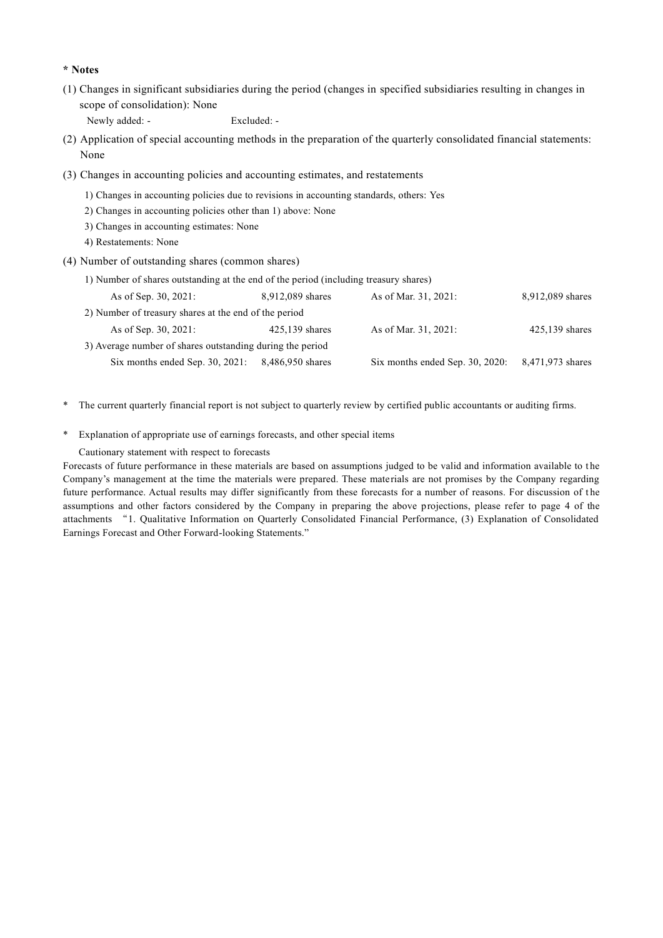#### **\* Notes**

(1) Changes in significant subsidiaries during the period (changes in specified subsidiaries resulting in changes in scope of consolidation): None

Newly added: - Excluded: -

- (2) Application of special accounting methods in the preparation of the quarterly consolidated financial statements: None
- (3) Changes in accounting policies and accounting estimates, and restatements
	- 1) Changes in accounting policies due to revisions in accounting standards, others: Yes
	- 2) Changes in accounting policies other than 1) above: None
	- 3) Changes in accounting estimates: None
	- 4) Restatements: None
- (4) Number of outstanding shares (common shares)
	- 1) Number of shares outstanding at the end of the period (including treasury shares)

| As of Sep. 30, 2021:                                      | 8,912,089 shares | As of Mar. 31, 2021:               | 8,912,089 shares |
|-----------------------------------------------------------|------------------|------------------------------------|------------------|
| 2) Number of treasury shares at the end of the period     |                  |                                    |                  |
| As of Sep. 30, 2021:                                      | $425,139$ shares | As of Mar. 31, 2021:               | $425,139$ shares |
| 3) Average number of shares outstanding during the period |                  |                                    |                  |
| Six months ended Sep. $30, 2021$ :                        | 8,486,950 shares | Six months ended Sep. $30, 2020$ : | 8,471,973 shares |

\* The current quarterly financial report is not subject to quarterly review by certified public accountants or auditing firms.

\* Explanation of appropriate use of earnings forecasts, and other special items

Cautionary statement with respect to forecasts

Forecasts of future performance in these materials are based on assumptions judged to be valid and information available to the Company's management at the time the materials were prepared. These materials are not promises by the Company regarding future performance. Actual results may differ significantly from these forecasts for a number of reasons. For discussion of t he assumptions and other factors considered by the Company in preparing the above projections, please refer to page 4 of the attachments "1. Qualitative Information on Quarterly Consolidated Financial Performance, (3) Explanation of Consolidated Earnings Forecast and Other Forward-looking Statements."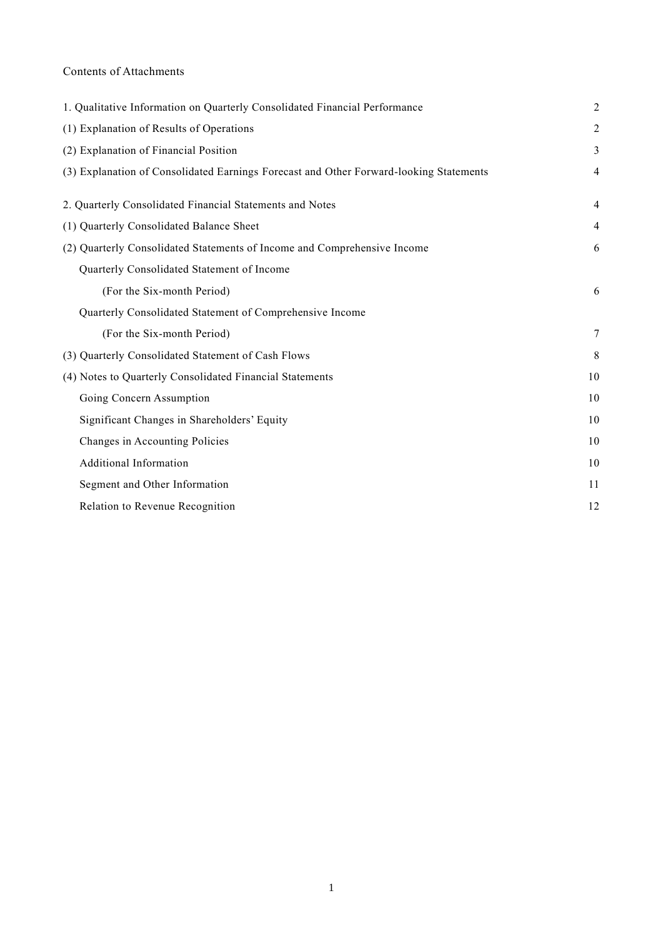# Contents of Attachments

| 1. Qualitative Information on Quarterly Consolidated Financial Performance             | $\overline{2}$ |
|----------------------------------------------------------------------------------------|----------------|
| (1) Explanation of Results of Operations                                               | $\overline{c}$ |
| (2) Explanation of Financial Position                                                  | 3              |
| (3) Explanation of Consolidated Earnings Forecast and Other Forward-looking Statements | $\overline{4}$ |
| 2. Quarterly Consolidated Financial Statements and Notes                               | $\overline{4}$ |
| (1) Quarterly Consolidated Balance Sheet                                               | $\overline{4}$ |
| (2) Quarterly Consolidated Statements of Income and Comprehensive Income               | 6              |
| Quarterly Consolidated Statement of Income                                             |                |
| (For the Six-month Period)                                                             | 6              |
| Quarterly Consolidated Statement of Comprehensive Income                               |                |
| (For the Six-month Period)                                                             | $\tau$         |
| (3) Quarterly Consolidated Statement of Cash Flows                                     | 8              |
| (4) Notes to Quarterly Consolidated Financial Statements                               | 10             |
| Going Concern Assumption                                                               | 10             |
| Significant Changes in Shareholders' Equity                                            | 10             |
| Changes in Accounting Policies                                                         | 10             |
| Additional Information                                                                 | 10             |
| Segment and Other Information                                                          | 11             |
| Relation to Revenue Recognition                                                        | 12             |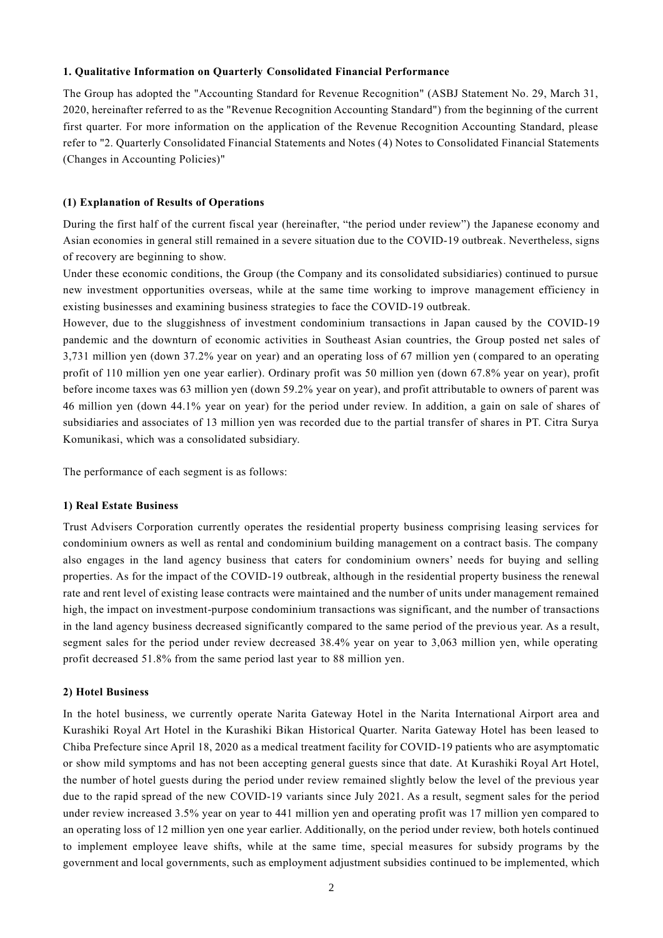#### **1. Qualitative Information on Quarterly Consolidated Financial Performance**

The Group has adopted the "Accounting Standard for Revenue Recognition" (ASBJ Statement No. 29, March 31, 2020, hereinafter referred to as the "Revenue Recognition Accounting Standard") from the beginning of the current first quarter. For more information on the application of the Revenue Recognition Accounting Standard, please refer to "2. Quarterly Consolidated Financial Statements and Notes (4) Notes to Consolidated Financial Statements (Changes in Accounting Policies)"

#### **(1) Explanation of Results of Operations**

During the first half of the current fiscal year (hereinafter, "the period under review") the Japanese economy and Asian economies in general still remained in a severe situation due to the COVID-19 outbreak. Nevertheless, signs of recovery are beginning to show.

Under these economic conditions, the Group (the Company and its consolidated subsidiaries) continued to pursue new investment opportunities overseas, while at the same time working to improve management efficiency in existing businesses and examining business strategies to face the COVID-19 outbreak.

However, due to the sluggishness of investment condominium transactions in Japan caused by the COVID-19 pandemic and the downturn of economic activities in Southeast Asian countries, the Group posted net sales of 3,731 million yen (down 37.2% year on year) and an operating loss of 67 million yen ( compared to an operating profit of 110 million yen one year earlier). Ordinary profit was 50 million yen (down 67.8% year on year), profit before income taxes was 63 million yen (down 59.2% year on year), and profit attributable to owners of parent was 46 million yen (down 44.1% year on year) for the period under review. In addition, a gain on sale of shares of subsidiaries and associates of 13 million yen was recorded due to the partial transfer of shares in PT. Citra Surya Komunikasi, which was a consolidated subsidiary.

The performance of each segment is as follows:

#### **1) Real Estate Business**

Trust Advisers Corporation currently operates the residential property business comprising leasing services for condominium owners as well as rental and condominium building management on a contract basis. The company also engages in the land agency business that caters for condominium owners' needs for buying and selling properties. As for the impact of the COVID-19 outbreak, although in the residential property business the renewal rate and rent level of existing lease contracts were maintained and the number of units under management remained high, the impact on investment-purpose condominium transactions was significant, and the number of transactions in the land agency business decreased significantly compared to the same period of the previous year. As a result, segment sales for the period under review decreased 38.4% year on year to 3,063 million yen, while operating profit decreased 51.8% from the same period last year to 88 million yen.

# **2) Hotel Business**

In the hotel business, we currently operate Narita Gateway Hotel in the Narita International Airport area and Kurashiki Royal Art Hotel in the Kurashiki Bikan Historical Quarter. Narita Gateway Hotel has been leased to Chiba Prefecture since April 18, 2020 as a medical treatment facility for COVID-19 patients who are asymptomatic or show mild symptoms and has not been accepting general guests since that date. At Kurashiki Royal Art Hotel, the number of hotel guests during the period under review remained slightly below the level of the previous year due to the rapid spread of the new COVID-19 variants since July 2021. As a result, segment sales for the period under review increased 3.5% year on year to 441 million yen and operating profit was 17 million yen compared to an operating loss of 12 million yen one year earlier. Additionally, on the period under review, both hotels continued to implement employee leave shifts, while at the same time, special measures for subsidy programs by the government and local governments, such as employment adjustment subsidies continued to be implemented, which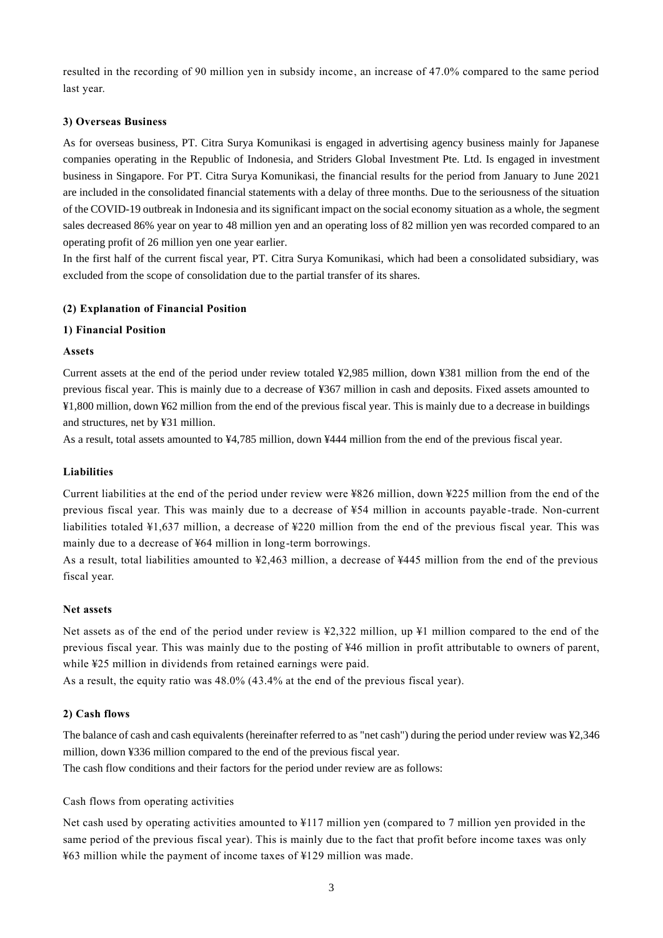resulted in the recording of 90 million yen in subsidy income, an increase of 47.0% compared to the same period last year.

# **3) Overseas Business**

As for overseas business, PT. Citra Surya Komunikasi is engaged in advertising agency business mainly for Japanese companies operating in the Republic of Indonesia, and Striders Global Investment Pte. Ltd. Is engaged in investment business in Singapore. For PT. Citra Surya Komunikasi, the financial results for the period from January to June 2021 are included in the consolidated financial statements with a delay of three months. Due to the seriousness of the situation of the COVID-19 outbreak in Indonesia and its significant impact on the social economy situation as a whole, the segment sales decreased 86% year on year to 48 million yen and an operating loss of 82 million yen was recorded compared to an operating profit of 26 million yen one year earlier.

In the first half of the current fiscal year, PT. Citra Surya Komunikasi, which had been a consolidated subsidiary, was excluded from the scope of consolidation due to the partial transfer of its shares.

# **(2) Explanation of Financial Position**

# **1) Financial Position**

# **Assets**

Current assets at the end of the period under review totaled ¥2,985 million, down ¥381 million from the end of the previous fiscal year. This is mainly due to a decrease of ¥367 million in cash and deposits. Fixed assets amounted to ¥1,800 million, down ¥62 million from the end of the previous fiscal year. This is mainly due to a decrease in buildings and structures, net by ¥31 million.

As a result, total assets amounted to ¥4,785 million, down ¥444 million from the end of the previous fiscal year.

# **Liabilities**

Current liabilities at the end of the period under review were ¥826 million, down ¥225 million from the end of the previous fiscal year. This was mainly due to a decrease of ¥54 million in accounts payable -trade. Non-current liabilities totaled ¥1,637 million, a decrease of ¥220 million from the end of the previous fiscal year. This was mainly due to a decrease of ¥64 million in long-term borrowings.

As a result, total liabilities amounted to ¥2,463 million, a decrease of ¥445 million from the end of the previous fiscal year.

# **Net assets**

Net assets as of the end of the period under review is ¥2,322 million, up ¥1 million compared to the end of the previous fiscal year. This was mainly due to the posting of ¥46 million in profit attributable to owners of parent, while ¥25 million in dividends from retained earnings were paid.

As a result, the equity ratio was 48.0% (43.4% at the end of the previous fiscal year).

# **2) Cash flows**

The balance of cash and cash equivalents (hereinafter referred to as "net cash") during the period under review was ¥2,346 million, down ¥336 million compared to the end of the previous fiscal year.

The cash flow conditions and their factors for the period under review are as follows:

Cash flows from operating activities

Net cash used by operating activities amounted to ¥117 million yen (compared to 7 million yen provided in the same period of the previous fiscal year). This is mainly due to the fact that profit before income taxes was only ¥63 million while the payment of income taxes of ¥129 million was made.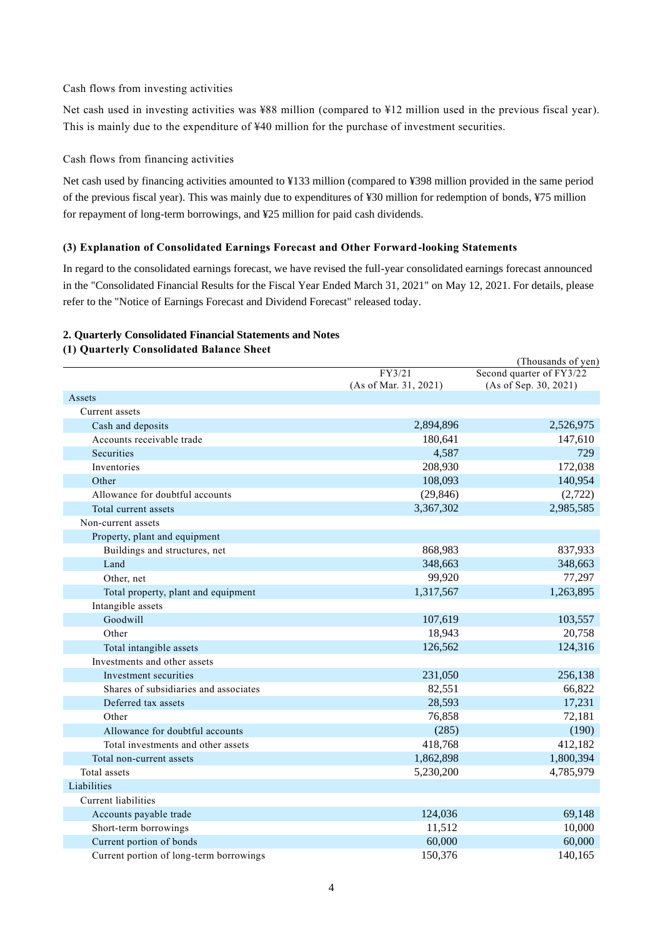Cash flows from investing activities

Net cash used in investing activities was ¥88 million (compared to ¥12 million used in the previous fiscal year). This is mainly due to the expenditure of ¥40 million for the purchase of investment securities.

Cash flows from financing activities

Net cash used by financing activities amounted to ¥133 million (compared to ¥398 million provided in the same period of the previous fiscal year). This was mainly due to expenditures of ¥30 million for redemption of bonds, ¥75 million for repayment of long-term borrowings, and ¥25 million for paid cash dividends.

#### **(3) Explanation of Consolidated Earnings Forecast and Other Forward-looking Statements**

In regard to the consolidated earnings forecast, we have revised the full-year consolidated earnings forecast announced in the "Consolidated Financial Results for the Fiscal Year Ended March 31, 2021" on May 12, 2021. For details, please refer to the "Notice of Earnings Forecast and Dividend Forecast" released today.

#### **2. Quarterly Consolidated Financial Statements and Notes**

#### **(1) Quarterly Consolidated Balance Sheet**

|                                         |                                 | (Thousands of yen)                                |
|-----------------------------------------|---------------------------------|---------------------------------------------------|
|                                         | FY3/21<br>(As of Mar. 31, 2021) | Second quarter of FY3/22<br>(As of Sep. 30, 2021) |
| Assets                                  |                                 |                                                   |
| Current assets                          |                                 |                                                   |
| Cash and deposits                       | 2,894,896                       | 2,526,975                                         |
| Accounts receivable trade               | 180,641                         | 147,610                                           |
| Securities                              | 4,587                           | 729                                               |
| Inventories                             | 208,930                         | 172,038                                           |
| Other                                   | 108,093                         | 140,954                                           |
| Allowance for doubtful accounts         | (29, 846)                       | (2,722)                                           |
| Total current assets                    | 3,367,302                       | 2,985,585                                         |
| Non-current assets                      |                                 |                                                   |
| Property, plant and equipment           |                                 |                                                   |
| Buildings and structures, net           | 868,983                         | 837,933                                           |
| Land                                    | 348,663                         | 348,663                                           |
| Other, net                              | 99,920                          | 77,297                                            |
| Total property, plant and equipment     | 1,317,567                       | 1,263,895                                         |
| Intangible assets                       |                                 |                                                   |
| Goodwill                                | 107,619                         | 103,557                                           |
| Other                                   | 18,943                          | 20,758                                            |
| Total intangible assets                 | 126,562                         | 124,316                                           |
| Investments and other assets            |                                 |                                                   |
| Investment securities                   | 231,050                         | 256,138                                           |
| Shares of subsidiaries and associates   | 82,551                          | 66,822                                            |
| Deferred tax assets                     | 28,593                          | 17,231                                            |
| Other                                   | 76,858                          | 72,181                                            |
| Allowance for doubtful accounts         | (285)                           | (190)                                             |
| Total investments and other assets      | 418,768                         | 412,182                                           |
| Total non-current assets                | 1,862,898                       | 1,800,394                                         |
| Total assets                            | 5,230,200                       | 4,785,979                                         |
| Liabilities                             |                                 |                                                   |
| Current liabilities                     |                                 |                                                   |
| Accounts payable trade                  | 124,036                         | 69,148                                            |
| Short-term borrowings                   | 11,512                          | 10,000                                            |
| Current portion of bonds                | 60,000                          | 60,000                                            |
| Current portion of long-term borrowings | 150,376                         | 140,165                                           |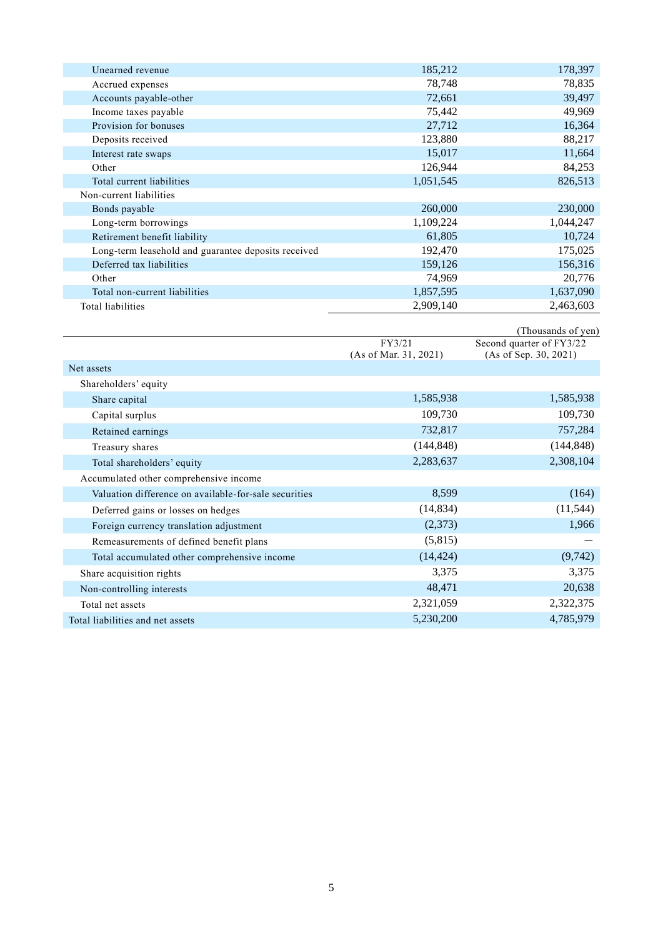| Unearned revenue                                      | 185,212                | 178,397                  |
|-------------------------------------------------------|------------------------|--------------------------|
| Accrued expenses                                      | 78,748                 | 78,835                   |
| Accounts payable-other                                | 72,661                 | 39,497                   |
| Income taxes payable                                  | 75,442                 | 49,969                   |
| Provision for bonuses                                 | 27,712                 | 16,364                   |
| Deposits received                                     | 123,880                | 88,217                   |
| Interest rate swaps                                   | 15,017                 | 11,664                   |
| Other                                                 | 126,944                | 84,253                   |
| Total current liabilities                             | 1,051,545              | 826,513                  |
| Non-current liabilities                               |                        |                          |
| Bonds payable                                         | 260,000                | 230,000                  |
| Long-term borrowings                                  | 1,109,224              | 1,044,247                |
| Retirement benefit liability                          | 61,805                 | 10,724                   |
| Long-term leasehold and guarantee deposits received   | 192,470                | 175,025                  |
| Deferred tax liabilities                              | 159,126                | 156,316                  |
| Other                                                 | 74,969                 | 20,776                   |
| Total non-current liabilities                         | 1,857,595              | 1,637,090                |
| Total liabilities                                     | 2,909,140              | 2,463,603                |
|                                                       |                        | (Thousands of yen)       |
|                                                       | FY3/21                 | Second quarter of FY3/22 |
|                                                       | (As of Mar. 31, 2021)  | (As of Sep. 30, 2021)    |
| Net assets                                            |                        |                          |
| Shareholders' equity                                  |                        |                          |
| Share capital                                         | 1,585,938              | 1,585,938                |
| Capital surplus                                       | 109,730                | 109,730                  |
| Retained earnings                                     | 732,817                | 757,284                  |
| Treasury shares                                       | (144, 848)             | (144, 848)               |
| Total shareholders' equity                            | 2,283,637              | 2,308,104                |
| Accumulated other comprehensive income                |                        |                          |
| Valuation difference on available-for-sale securities | 8,599                  | (164)                    |
| Deferred gains or losses on hedges                    |                        |                          |
|                                                       | (14, 834)              | (11, 544)                |
|                                                       |                        |                          |
| Foreign currency translation adjustment               | (2,373)                | 1,966                    |
| Remeasurements of defined benefit plans               | (5,815)                |                          |
| Total accumulated other comprehensive income          | (14, 424)              | (9, 742)                 |
| Share acquisition rights                              | 3,375                  | 3,375                    |
| Non-controlling interests                             | 48,471                 | 20,638                   |
| Total net assets<br>Total liabilities and net assets  | 2,321,059<br>5,230,200 | 2,322,375<br>4,785,979   |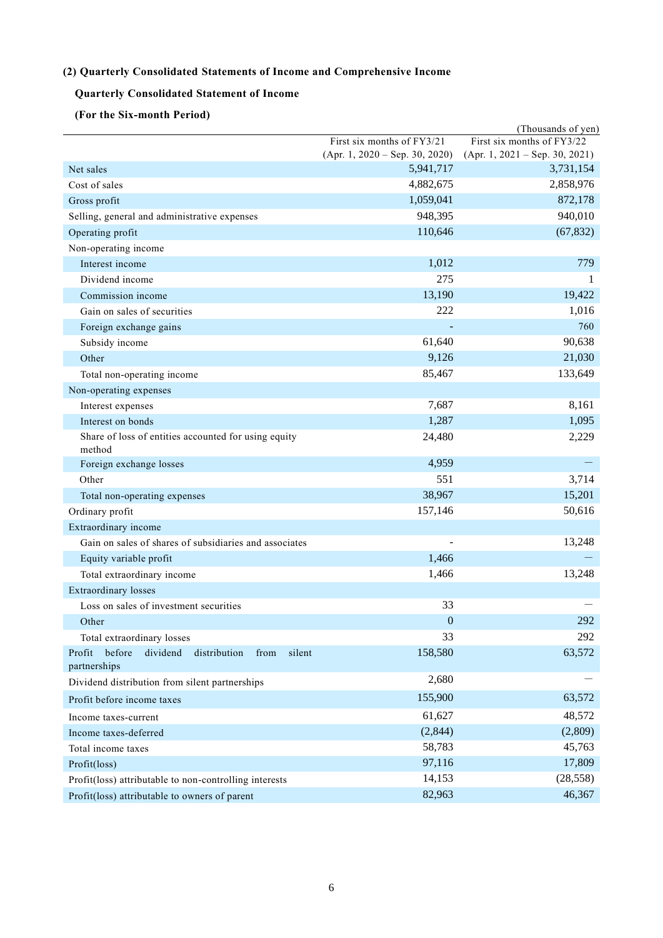# **(2) Quarterly Consolidated Statements of Income and Comprehensive Income**

# **Quarterly Consolidated Statement of Income**

# **(For the Six-month Period)**

|                                                                |                                  | (Thousands of yen)               |
|----------------------------------------------------------------|----------------------------------|----------------------------------|
|                                                                | First six months of FY3/21       | First six months of FY3/22       |
|                                                                | $(Apr. 1, 2020 - Sep. 30, 2020)$ | $(Apr. 1, 2021 - Sep. 30, 2021)$ |
| Net sales                                                      | 5,941,717                        | 3,731,154                        |
| Cost of sales                                                  | 4,882,675                        | 2,858,976                        |
| Gross profit                                                   | 1,059,041                        | 872,178                          |
| Selling, general and administrative expenses                   | 948,395                          | 940,010                          |
| Operating profit                                               | 110,646                          | (67, 832)                        |
| Non-operating income                                           |                                  |                                  |
| Interest income                                                | 1,012                            | 779                              |
| Dividend income                                                | 275                              | 1                                |
| Commission income                                              | 13,190                           | 19,422                           |
| Gain on sales of securities                                    | 222                              | 1,016                            |
| Foreign exchange gains                                         |                                  | 760                              |
| Subsidy income                                                 | 61,640                           | 90,638                           |
| Other                                                          | 9,126                            | 21,030                           |
| Total non-operating income                                     | 85,467                           | 133,649                          |
| Non-operating expenses                                         |                                  |                                  |
| Interest expenses                                              | 7,687                            | 8,161                            |
| Interest on bonds                                              | 1,287                            | 1,095                            |
| Share of loss of entities accounted for using equity<br>method | 24,480                           | 2,229                            |
| Foreign exchange losses                                        | 4,959                            |                                  |
| Other                                                          | 551                              | 3,714                            |
| Total non-operating expenses                                   | 38,967                           | 15,201                           |
| Ordinary profit                                                | 157,146                          | 50,616                           |
| Extraordinary income                                           |                                  |                                  |
| Gain on sales of shares of subsidiaries and associates         |                                  | 13,248                           |
| Equity variable profit                                         | 1,466                            |                                  |
| Total extraordinary income                                     | 1,466                            | 13,248                           |
| <b>Extraordinary losses</b>                                    |                                  |                                  |
| Loss on sales of investment securities                         | 33                               |                                  |
| Other                                                          | $\boldsymbol{0}$                 | 292                              |
| Total extraordinary losses                                     | 33                               | 292                              |
| before<br>dividend<br>silent<br>Profit<br>distribution<br>from | 158,580                          | 63,572                           |
| partnerships                                                   |                                  |                                  |
| Dividend distribution from silent partnerships                 | 2,680                            |                                  |
| Profit before income taxes                                     | 155,900                          | 63,572                           |
| Income taxes-current                                           | 61,627                           | 48,572                           |
| Income taxes-deferred                                          | (2,844)                          | (2,809)                          |
| Total income taxes                                             | 58,783                           | 45,763                           |
| Profit(loss)                                                   | 97,116                           | 17,809                           |
| Profit(loss) attributable to non-controlling interests         | 14,153                           | (28, 558)                        |
| Profit(loss) attributable to owners of parent                  | 82,963                           | 46,367                           |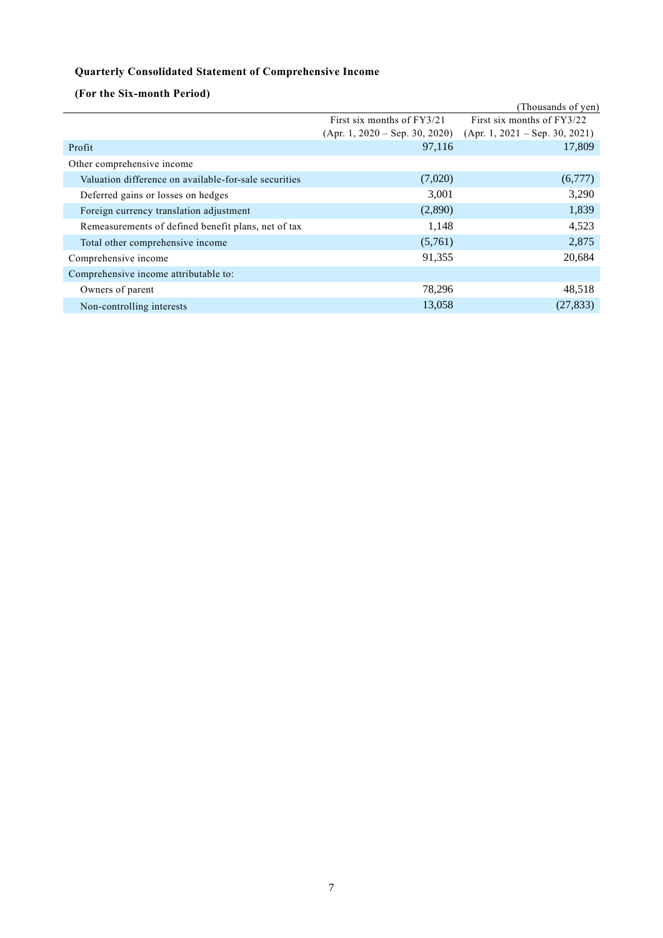# **Quarterly Consolidated Statement of Comprehensive Income**

**(For the Six-month Period)**

|                                                       |                                  | (Thousands of yen)               |
|-------------------------------------------------------|----------------------------------|----------------------------------|
|                                                       | First six months of FY3/21       | First six months of FY3/22       |
|                                                       | $(Apr. 1, 2020 - Sep. 30, 2020)$ | $(Apr. 1, 2021 - Sep. 30, 2021)$ |
| Profit                                                | 97,116                           | 17,809                           |
| Other comprehensive income                            |                                  |                                  |
| Valuation difference on available-for-sale securities | (7,020)                          | (6,777)                          |
| Deferred gains or losses on hedges                    | 3,001                            | 3,290                            |
| Foreign currency translation adjustment               | (2,890)                          | 1,839                            |
| Remeasurements of defined benefit plans, net of tax   | 1,148                            | 4,523                            |
| Total other comprehensive income                      | (5,761)                          | 2,875                            |
| Comprehensive income                                  | 91,355                           | 20,684                           |
| Comprehensive income attributable to:                 |                                  |                                  |
| Owners of parent                                      | 78,296                           | 48,518                           |
| Non-controlling interests                             | 13,058                           | (27, 833)                        |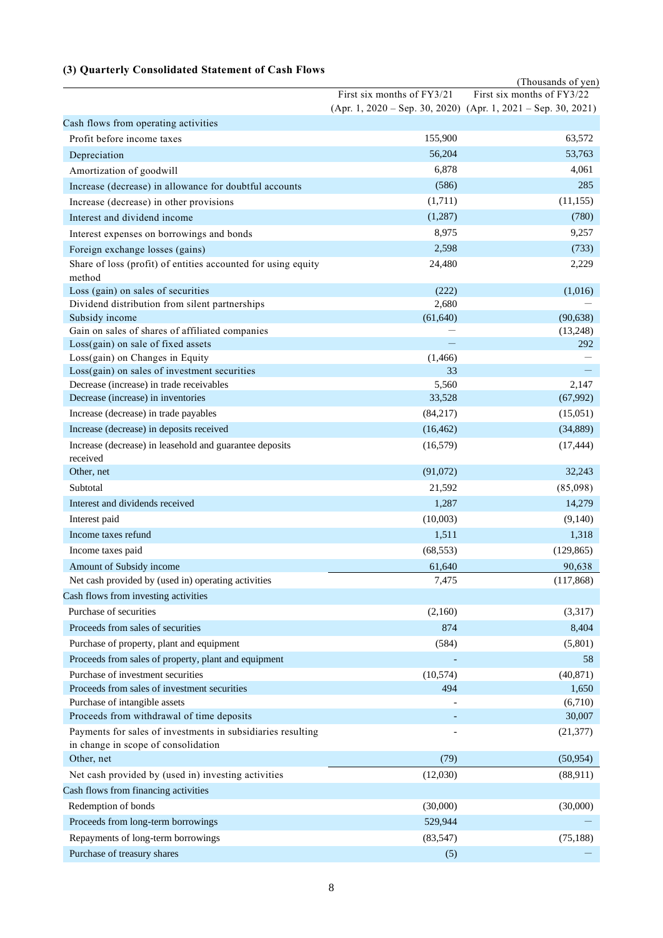# **(3) Quarterly Consolidated Statement of Cash Flows**

|                                                                                                  |                            | (Thousands of yen)                                                |
|--------------------------------------------------------------------------------------------------|----------------------------|-------------------------------------------------------------------|
|                                                                                                  | First six months of FY3/21 | First six months of FY3/22                                        |
|                                                                                                  |                            | $(Apr. 1, 2020 - Sep. 30, 2020)$ $(Apr. 1, 2021 - Sep. 30, 2021)$ |
| Cash flows from operating activities                                                             |                            |                                                                   |
| Profit before income taxes                                                                       | 155,900                    | 63,572                                                            |
| Depreciation                                                                                     | 56,204                     | 53,763                                                            |
| Amortization of goodwill                                                                         | 6,878                      | 4,061                                                             |
| Increase (decrease) in allowance for doubtful accounts                                           | (586)                      | 285                                                               |
| Increase (decrease) in other provisions                                                          | (1,711)                    | (11, 155)                                                         |
| Interest and dividend income                                                                     | (1,287)                    | (780)                                                             |
| Interest expenses on borrowings and bonds                                                        | 8,975                      | 9,257                                                             |
|                                                                                                  | 2,598                      | (733)                                                             |
| Foreign exchange losses (gains)<br>Share of loss (profit) of entities accounted for using equity | 24,480                     |                                                                   |
| method                                                                                           |                            | 2,229                                                             |
| Loss (gain) on sales of securities                                                               | (222)                      | (1,016)                                                           |
| Dividend distribution from silent partnerships                                                   | 2,680                      |                                                                   |
| Subsidy income                                                                                   | (61, 640)                  | (90, 638)                                                         |
| Gain on sales of shares of affiliated companies                                                  |                            | (13,248)                                                          |
| Loss(gain) on sale of fixed assets                                                               |                            | 292                                                               |
| Loss(gain) on Changes in Equity                                                                  | (1,466)                    |                                                                   |
| Loss(gain) on sales of investment securities                                                     | 33                         |                                                                   |
| Decrease (increase) in trade receivables                                                         | 5,560                      | 2,147                                                             |
| Decrease (increase) in inventories                                                               | 33,528                     | (67,992)                                                          |
| Increase (decrease) in trade payables                                                            | (84, 217)                  | (15,051)                                                          |
| Increase (decrease) in deposits received                                                         | (16, 462)                  | (34, 889)                                                         |
| Increase (decrease) in leasehold and guarantee deposits                                          | (16, 579)                  | (17, 444)                                                         |
| received                                                                                         |                            |                                                                   |
| Other, net                                                                                       | (91,072)                   | 32,243                                                            |
| Subtotal                                                                                         | 21,592                     | (85,098)                                                          |
| Interest and dividends received                                                                  | 1,287                      | 14,279                                                            |
| Interest paid                                                                                    | (10,003)                   | (9,140)                                                           |
| Income taxes refund                                                                              | 1,511                      | 1,318                                                             |
| Income taxes paid                                                                                | (68, 553)                  | (129, 865)                                                        |
| Amount of Subsidy income                                                                         | 61,640                     | 90,638                                                            |
| Net cash provided by (used in) operating activities                                              | 7,475                      | (117, 868)                                                        |
| Cash flows from investing activities                                                             |                            |                                                                   |
| Purchase of securities                                                                           | (2,160)                    | (3,317)                                                           |
| Proceeds from sales of securities                                                                | 874                        | 8,404                                                             |
|                                                                                                  |                            |                                                                   |
| Purchase of property, plant and equipment                                                        | (584)                      | (5,801)                                                           |
| Proceeds from sales of property, plant and equipment                                             |                            | 58                                                                |
| Purchase of investment securities                                                                | (10, 574)                  | (40, 871)                                                         |
| Proceeds from sales of investment securities                                                     | 494                        | 1,650                                                             |
| Purchase of intangible assets<br>Proceeds from withdrawal of time deposits                       |                            | (6,710)<br>30,007                                                 |
|                                                                                                  |                            |                                                                   |
| Payments for sales of investments in subsidiaries resulting                                      |                            | (21, 377)                                                         |
| in change in scope of consolidation<br>Other, net                                                | (79)                       | (50, 954)                                                         |
|                                                                                                  |                            |                                                                   |
| Net cash provided by (used in) investing activities                                              | (12,030)                   | (88,911)                                                          |
| Cash flows from financing activities                                                             |                            |                                                                   |
| Redemption of bonds                                                                              | (30,000)                   | (30,000)                                                          |
| Proceeds from long-term borrowings                                                               | 529,944                    |                                                                   |
| Repayments of long-term borrowings                                                               | (83, 547)                  | (75, 188)                                                         |
| Purchase of treasury shares                                                                      | (5)                        |                                                                   |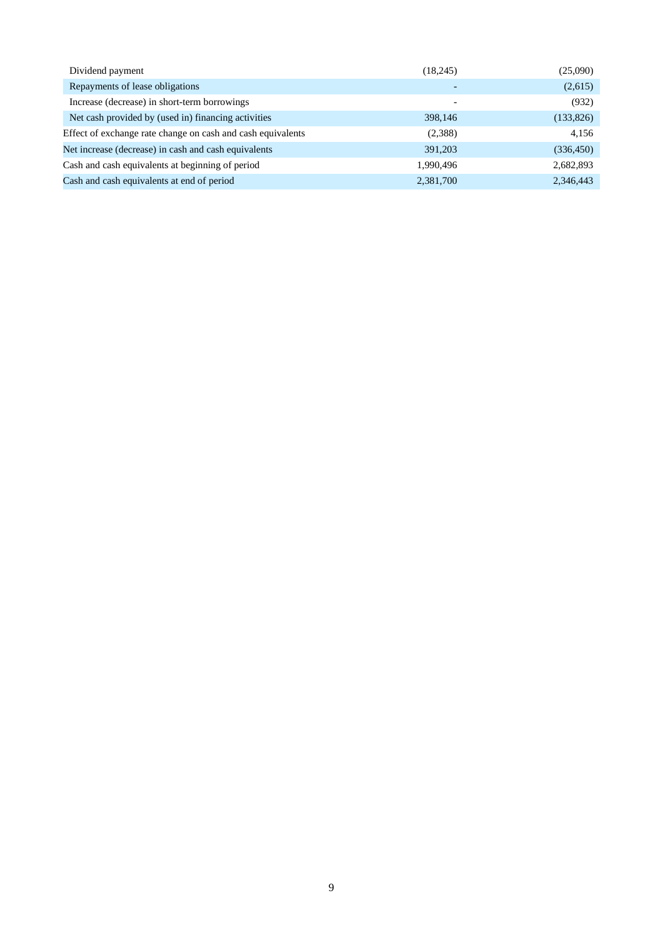| (18,245)                 | (25,090)   |
|--------------------------|------------|
| $\overline{\phantom{0}}$ | (2,615)    |
|                          | (932)      |
| 398,146                  | (133, 826) |
| (2,388)                  | 4,156      |
| 391,203                  | (336, 450) |
| 1,990,496                | 2,682,893  |
| 2,381,700                | 2,346,443  |
|                          |            |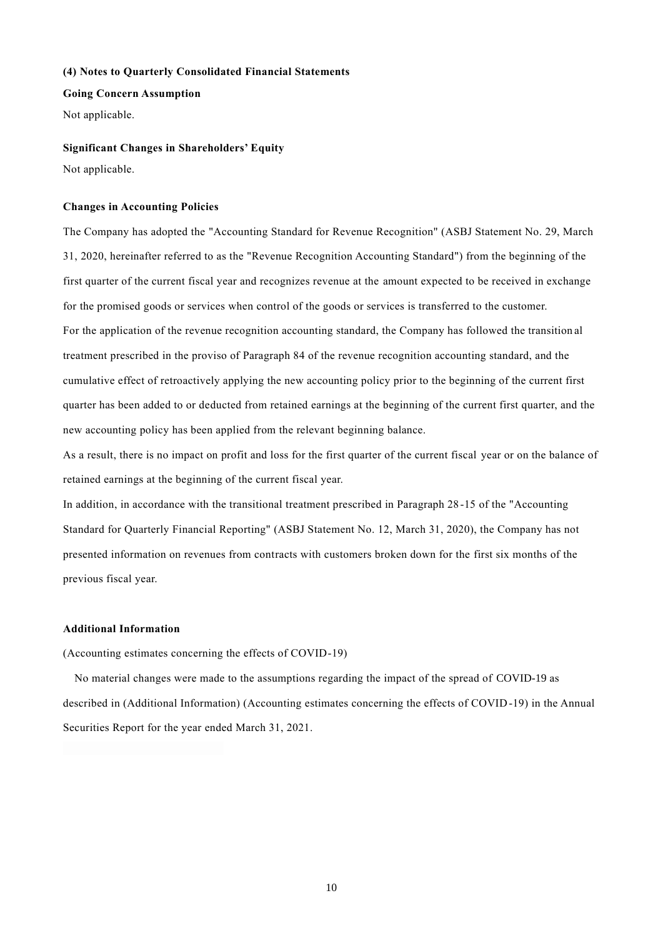# **(4) Notes to Quarterly Consolidated Financial Statements**

**Going Concern Assumption**

Not applicable.

#### **Significant Changes in Shareholders' Equity**

Not applicable.

### **Changes in Accounting Policies**

The Company has adopted the "Accounting Standard for Revenue Recognition" (ASBJ Statement No. 29, March 31, 2020, hereinafter referred to as the "Revenue Recognition Accounting Standard") from the beginning of the first quarter of the current fiscal year and recognizes revenue at the amount expected to be received in exchange for the promised goods or services when control of the goods or services is transferred to the customer. For the application of the revenue recognition accounting standard, the Company has followed the transition al treatment prescribed in the proviso of Paragraph 84 of the revenue recognition accounting standard, and the cumulative effect of retroactively applying the new accounting policy prior to the beginning of the current first quarter has been added to or deducted from retained earnings at the beginning of the current first quarter, and the new accounting policy has been applied from the relevant beginning balance.

As a result, there is no impact on profit and loss for the first quarter of the current fiscal year or on the balance of retained earnings at the beginning of the current fiscal year.

In addition, in accordance with the transitional treatment prescribed in Paragraph 28 -15 of the "Accounting Standard for Quarterly Financial Reporting" (ASBJ Statement No. 12, March 31, 2020), the Company has not presented information on revenues from contracts with customers broken down for the first six months of the previous fiscal year.

# **Additional Information**

(Accounting estimates concerning the effects of COVID-19)

No material changes were made to the assumptions regarding the impact of the spread of COVID-19 as described in (Additional Information) (Accounting estimates concerning the effects of COVID-19) in the Annual Securities Report for the year ended March 31, 2021.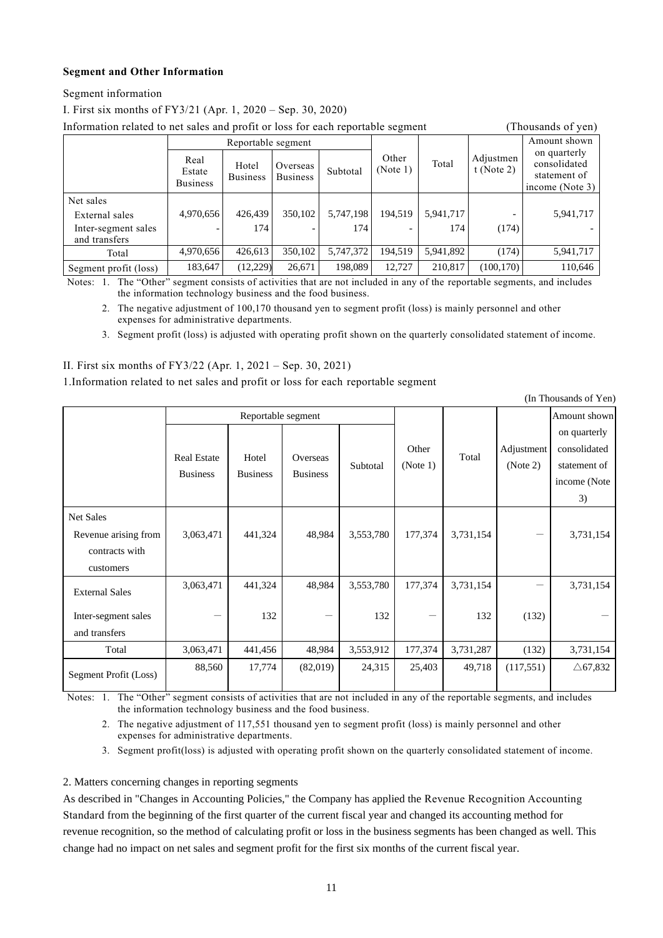# **Segment and Other Information**

Segment information

I. First six months of FY3/21 (Apr. 1, 2020 – Sep. 30, 2020)

| Information related to net sales and profit or loss for each reportable segment<br>(Thousands of yen) |                                   |                          |                             |           |                   |           |                         |                                                                 |
|-------------------------------------------------------------------------------------------------------|-----------------------------------|--------------------------|-----------------------------|-----------|-------------------|-----------|-------------------------|-----------------------------------------------------------------|
|                                                                                                       | Reportable segment                |                          |                             |           |                   |           |                         | Amount shown                                                    |
|                                                                                                       | Real<br>Estate<br><b>Business</b> | Hotel<br><b>Business</b> | Overseas<br><b>Business</b> | Subtotal  | Other<br>(Note 1) | Total     | Adjustmen<br>t (Note 2) | on quarterly<br>consolidated<br>statement of<br>income (Note 3) |
| Net sales                                                                                             |                                   |                          |                             |           |                   |           |                         |                                                                 |
| External sales                                                                                        | 4,970,656                         | 426,439                  | 350,102                     | 5,747,198 | 194,519           | 5,941,717 |                         | 5,941,717                                                       |
| Inter-segment sales<br>and transfers                                                                  |                                   | 174                      |                             | 174       |                   | 174       | (174)                   |                                                                 |
| Total                                                                                                 | 4,970,656                         | 426,613                  | 350,102                     | 5,747,372 | 194,519           | 5,941,892 | (174)                   | 5,941,717                                                       |
| Segment profit (loss)                                                                                 | 183,647                           | (12, 229)                | 26,671                      | 198,089   | 12.727            | 210.817   | (100, 170)              | 110,646                                                         |

Notes: 1. The "Other" segment consists of activities that are not included in any of the reportable segments, and includes the information technology business and the food business.

2. The negative adjustment of 100,170 thousand yen to segment profit (loss) is mainly personnel and other expenses for administrative departments.

3. Segment profit (loss) is adjusted with operating profit shown on the quarterly consolidated statement of income.

# II. First six months of FY3/22 (Apr. 1, 2021 – Sep. 30, 2021)

1.Information related to net sales and profit or loss for each reportable segment

(In Thousands of Yen)

|                                                                  | Reportable segment                    |                          |                             |           |                   |           |                        | Amount shown                                                       |
|------------------------------------------------------------------|---------------------------------------|--------------------------|-----------------------------|-----------|-------------------|-----------|------------------------|--------------------------------------------------------------------|
|                                                                  | <b>Real Estate</b><br><b>Business</b> | Hotel<br><b>Business</b> | Overseas<br><b>Business</b> | Subtotal  | Other<br>(Note 1) | Total     | Adjustment<br>(Note 2) | on quarterly<br>consolidated<br>statement of<br>income (Note<br>3) |
| Net Sales<br>Revenue arising from<br>contracts with<br>customers | 3,063,471                             | 441,324                  | 48,984                      | 3,553,780 | 177,374           | 3,731,154 |                        | 3,731,154                                                          |
| <b>External Sales</b>                                            | 3,063,471                             | 441,324                  | 48,984                      | 3,553,780 | 177,374           | 3,731,154 |                        | 3,731,154                                                          |
| Inter-segment sales<br>and transfers                             |                                       | 132                      |                             | 132       |                   | 132       | (132)                  |                                                                    |
| Total                                                            | 3,063,471                             | 441,456                  | 48,984                      | 3,553,912 | 177,374           | 3,731,287 | (132)                  | 3,731,154                                                          |
| Segment Profit (Loss)                                            | 88,560                                | 17,774                   | (82,019)                    | 24,315    | 25,403            | 49,718    | (117,551)              | $\triangle$ 67,832                                                 |

Notes: 1. The "Other" segment consists of activities that are not included in any of the reportable segments, and includes the information technology business and the food business.

2. The negative adjustment of 117,551 thousand yen to segment profit (loss) is mainly personnel and other expenses for administrative departments.

3. Segment profit(loss) is adjusted with operating profit shown on the quarterly consolidated statement of income.

2. Matters concerning changes in reporting segments

As described in "Changes in Accounting Policies," the Company has applied the Revenue Recognition Accounting Standard from the beginning of the first quarter of the current fiscal year and changed its accounting method for revenue recognition, so the method of calculating profit or loss in the business segments has been changed as well. This change had no impact on net sales and segment profit for the first six months of the current fiscal year.